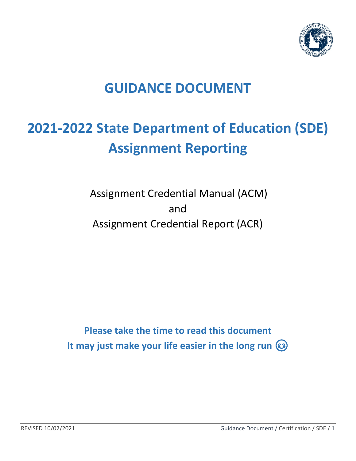

# **GUIDANCE DOCUMENT**

# **2021-2022 State Department of Education (SDE) Assignment Reporting**

Assignment Credential Manual (ACM) and Assignment Credential Report (ACR)

**Please take the time to read this document It may just make your life easier in the long run**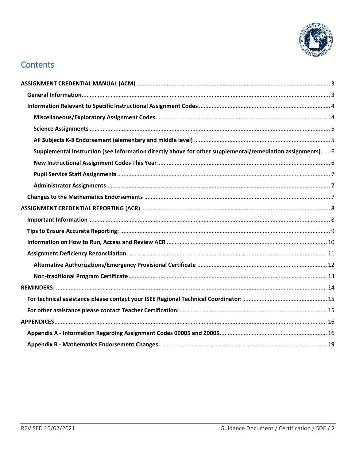

# **Contents**

| Supplemental Instruction (see information directly above for other supplemental/remediation assignments) 6 |  |
|------------------------------------------------------------------------------------------------------------|--|
|                                                                                                            |  |
|                                                                                                            |  |
|                                                                                                            |  |
|                                                                                                            |  |
|                                                                                                            |  |
|                                                                                                            |  |
|                                                                                                            |  |
|                                                                                                            |  |
|                                                                                                            |  |
|                                                                                                            |  |
|                                                                                                            |  |
|                                                                                                            |  |
|                                                                                                            |  |
|                                                                                                            |  |
|                                                                                                            |  |
|                                                                                                            |  |
|                                                                                                            |  |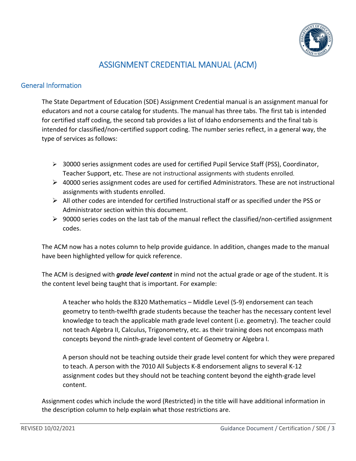

# ASSIGNMENT CREDENTIAL MANUAL (ACM)

#### <span id="page-2-1"></span><span id="page-2-0"></span>General Information

The State Department of Education (SDE) Assignment Credential manual is an assignment manual for educators and not a course catalog for students. The manual has three tabs. The first tab is intended for certified staff coding, the second tab provides a list of Idaho endorsements and the final tab is intended for classified/non-certified support coding. The number series reflect, in a general way, the type of services as follows:

- $\triangleright$  30000 series assignment codes are used for certified Pupil Service Staff (PSS), Coordinator, Teacher Support, etc. These are not instructional assignments with students enrolled.
- $\triangleright$  40000 series assignment codes are used for certified Administrators. These are not instructional assignments with students enrolled.
- $\triangleright$  All other codes are intended for certified Instructional staff or as specified under the PSS or Administrator section within this document.
- $\triangleright$  90000 series codes on the last tab of the manual reflect the classified/non-certified assignment codes.

The ACM now has a notes column to help provide guidance. In addition, changes made to the manual have been highlighted yellow for quick reference.

The ACM is designed with *grade level content* in mind not the actual grade or age of the student. It is the content level being taught that is important. For example:

A teacher who holds the 8320 Mathematics – Middle Level (5-9) endorsement can teach geometry to tenth-twelfth grade students because the teacher has the necessary content level knowledge to teach the applicable math grade level content (i.e. geometry). The teacher could not teach Algebra II, Calculus, Trigonometry, etc. as their training does not encompass math concepts beyond the ninth-grade level content of Geometry or Algebra I.

A person should not be teaching outside their grade level content for which they were prepared to teach. A person with the 7010 All Subjects K-8 endorsement aligns to several K-12 assignment codes but they should not be teaching content beyond the eighth-grade level content.

Assignment codes which include the word (Restricted) in the title will have additional information in the description column to help explain what those restrictions are.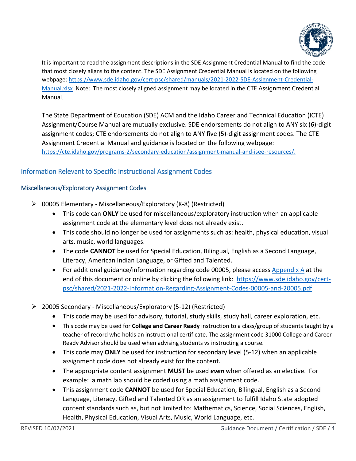

It is important to read the assignment descriptions in the SDE [Assignment Credential Manual](https://www.sde.idaho.gov/cert-psc/shared/manuals/2021-2022-SDE-Assignment-Credential-Manual.xlsx) to find the code that most closely aligns to the content. The SDE Assignment Credential Manual is located on the following webpage: [https://www.sde.idaho.gov/cert-psc/shared/manuals/2021-2022-SDE-Assignment-Credential-](https://www.sde.idaho.gov/cert-psc/shared/manuals/2021-2022-SDE-Assignment-Credential-Manual.xlsx)[Manual.xlsx](https://www.sde.idaho.gov/cert-psc/shared/manuals/2021-2022-SDE-Assignment-Credential-Manual.xlsx) Note: The most closely aligned assignment may be located in the CTE Assignment Credential Manual.

The State Department of Education (SDE) ACM and the Idaho Career and Technical Education (ICTE) Assignment/Course Manual are mutually exclusive. SDE endorsements do not align to ANY six (6)-digit assignment codes; CTE endorsements do not align to ANY five (5)-digit assignment codes. The CTE Assignment Credential Manual and guidance is located on the following webpage: [https://cte.idaho.gov/programs-2/secondary-education/assignment-manual-and-isee-resources/.](https://cte.idaho.gov/programs-2/secondary-education/assignment-manual-and-isee-resources/)

### <span id="page-3-0"></span>Information Relevant to Specific Instructional Assignment Codes

#### <span id="page-3-1"></span>Miscellaneous/Exploratory Assignment Codes

- 00005 Elementary Miscellaneous/Exploratory (K-8) (Restricted)
	- This code can **ONLY** be used for miscellaneous/exploratory instruction when an applicable assignment code at the elementary level does not already exist.
	- This code should no longer be used for assignments such as: health, physical education, visual arts, music, world languages.
	- The code **CANNOT** be used for Special Education, Bilingual, English as a Second Language, Literacy, American Indian Language, or Gifted and Talented.
	- For additional guidance/information regarding code 00005, please access [Appendix A](#page-15-1) at the end of this document or online by clicking the following link: [https://www.sde.idaho.gov/cert](https://www.sde.idaho.gov/cert-psc/shared/2021-2022-Information-Regarding-Assignment-Codes-00005-and-20005.pdf)[psc/shared/2021-2022-Information-Regarding-Assignment-Codes-00005-and-20005.pdf.](https://www.sde.idaho.gov/cert-psc/shared/2021-2022-Information-Regarding-Assignment-Codes-00005-and-20005.pdf)
- 20005 Secondary Miscellaneous/Exploratory (5-12) (Restricted)
	- This code may be used for advisory, tutorial, study skills, study hall, career exploration, etc.
	- This code may be used for **College and Career Ready** instruction to a class/group of students taught by a teacher of record who holds an instructional certificate. The assignment code 31000 College and Career Ready Advisor should be used when advising students vs instructing a course.
	- This code may **ONLY** be used for instruction for secondary level (5-12) when an applicable assignment code does not already exist for the content.
	- The appropriate content assignment **MUST** be used *even* when offered as an elective. For example: a math lab should be coded using a math assignment code.
	- This assignment code **CANNOT** be used for Special Education, Bilingual, English as a Second Language, Literacy, Gifted and Talented OR as an assignment to fulfill Idaho State adopted content standards such as, but not limited to: Mathematics, Science, Social Sciences, English, Health, Physical Education, Visual Arts, Music, World Language, etc.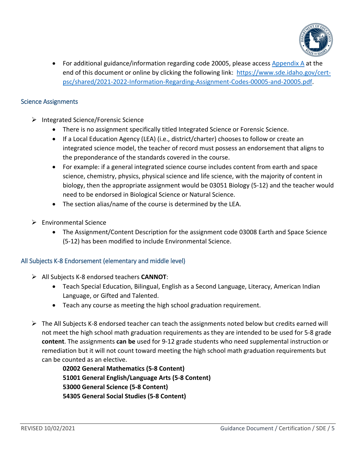

• For additional guidance/information regarding code 20005, please access [Appendix A](#page-15-1) at the end of this document or online by clicking the following link: [https://www.sde.idaho.gov/cert](https://www.sde.idaho.gov/cert-psc/shared/2021-2022-Information-Regarding-Assignment-Codes-00005-and-20005.pdf)[psc/shared/2021-2022-Information-Regarding-Assignment-Codes-00005-and-20005.pdf.](https://www.sde.idaho.gov/cert-psc/shared/2021-2022-Information-Regarding-Assignment-Codes-00005-and-20005.pdf)

#### <span id="page-4-0"></span>Science Assignments

- $\triangleright$  Integrated Science/Forensic Science
	- There is no assignment specifically titled Integrated Science or Forensic Science.
	- If a Local Education Agency (LEA) (i.e., district/charter) chooses to follow or create an integrated science model, the teacher of record must possess an endorsement that aligns to the preponderance of the standards covered in the course.
	- For example: if a general integrated science course includes content from earth and space science, chemistry, physics, physical science and life science, with the majority of content in biology, then the appropriate assignment would be 03051 Biology (5-12) and the teacher would need to be endorsed in Biological Science or Natural Science.
	- The section alias/name of the course is determined by the LEA.
- $\triangleright$  Environmental Science
	- The Assignment/Content Description for the assignment code 03008 Earth and Space Science (5-12) has been modified to include Environmental Science.

#### <span id="page-4-1"></span>All Subjects K-8 Endorsement (elementary and middle level)

- All Subjects K-8 endorsed teachers **CANNOT**:
	- Teach Special Education, Bilingual, English as a Second Language, Literacy, American Indian Language, or Gifted and Talented.
	- Teach any course as meeting the high school graduation requirement.
- $\triangleright$  The All Subjects K-8 endorsed teacher can teach the assignments noted below but credits earned will not meet the high school math graduation requirements as they are intended to be used for 5-8 grade **content**. The assignments **can be** used for 9-12 grade students who need supplemental instruction or remediation but it will not count toward meeting the high school math graduation requirements but can be counted as an elective.

**02002 General Mathematics (5-8 Content) 51001 General English/Language Arts (5-8 Content) 53000 General Science (5-8 Content) 54305 General Social Studies (5-8 Content)**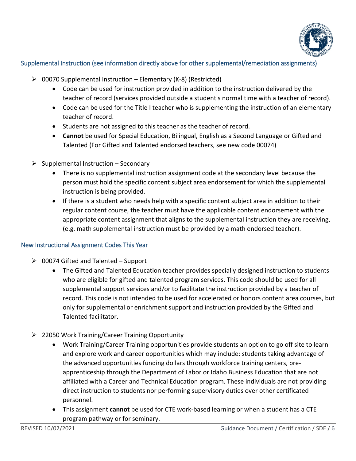

#### <span id="page-5-0"></span>Supplemental Instruction (see information directly above for other supplemental/remediation assignments)

- $\geqslant$  00070 Supplemental Instruction Elementary (K-8) (Restricted)
	- Code can be used for instruction provided in addition to the instruction delivered by the teacher of record (services provided outside a student's normal time with a teacher of record).
	- Code can be used for the Title I teacher who is supplementing the instruction of an elementary teacher of record.
	- Students are not assigned to this teacher as the teacher of record.
	- **Cannot** be used for Special Education, Bilingual, English as a Second Language or Gifted and Talented (For Gifted and Talented endorsed teachers, see new code 00074)
- $\triangleright$  Supplemental Instruction Secondary
	- There is no supplemental instruction assignment code at the secondary level because the person must hold the specific content subject area endorsement for which the supplemental instruction is being provided.
	- If there is a student who needs help with a specific content subject area in addition to their regular content course, the teacher must have the applicable content endorsement with the appropriate content assignment that aligns to the supplemental instruction they are receiving, (e.g. math supplemental instruction must be provided by a math endorsed teacher).

#### <span id="page-5-1"></span>New Instructional Assignment Codes This Year

- $\geqslant$  00074 Gifted and Talented Support
	- The Gifted and Talented Education teacher provides specially designed instruction to students who are eligible for gifted and talented program services. This code should be used for all supplemental support services and/or to facilitate the instruction provided by a teacher of record. This code is not intended to be used for accelerated or honors content area courses, but only for supplemental or enrichment support and instruction provided by the Gifted and Talented facilitator.
- 22050 Work Training/Career Training Opportunity
	- Work Training/Career Training opportunities provide students an option to go off site to learn and explore work and career opportunities which may include: students taking advantage of the advanced opportunities funding dollars through workforce training centers, preapprenticeship through the Department of Labor or Idaho Business Education that are not affiliated with a Career and Technical Education program. These individuals are not providing direct instruction to students nor performing supervisory duties over other certificated personnel.
	- This assignment **cannot** be used for CTE work-based learning or when a student has a CTE program pathway or for seminary.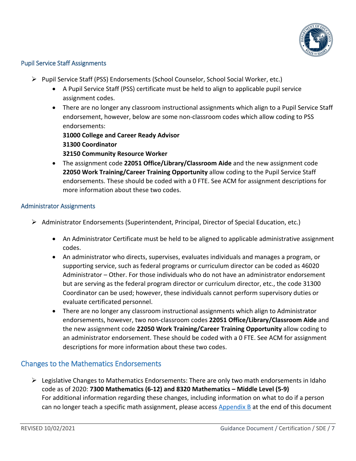

#### <span id="page-6-0"></span>Pupil Service Staff Assignments

- $\triangleright$  Pupil Service Staff (PSS) Endorsements (School Counselor, School Social Worker, etc.)
	- A Pupil Service Staff (PSS) certificate must be held to align to applicable pupil service assignment codes.
	- There are no longer any classroom instructional assignments which align to a Pupil Service Staff endorsement, however, below are some non-classroom codes which allow coding to PSS endorsements:

**31000 College and Career Ready Advisor 31300 Coordinator**

**32150 Community Resource Worker**

• The assignment code **22051 Office/Library/Classroom Aide** and the new assignment code **22050 Work Training/Career Training Opportunity** allow coding to the Pupil Service Staff endorsements. These should be coded with a 0 FTE. See ACM for assignment descriptions for more information about these two codes.

#### <span id="page-6-1"></span>Administrator Assignments

- Administrator Endorsements (Superintendent, Principal, Director of Special Education, etc.)
	- An Administrator Certificate must be held to be aligned to applicable administrative assignment codes.
	- An administrator who directs, supervises, evaluates individuals and manages a program, or supporting service, such as federal programs or curriculum director can be coded as 46020 Administrator – Other. For those individuals who do not have an administrator endorsement but are serving as the federal program director or curriculum director, etc., the code 31300 Coordinator can be used; however, these individuals cannot perform supervisory duties or evaluate certificated personnel.
	- There are no longer any classroom instructional assignments which align to Administrator endorsements, however, two non-classroom codes **22051 Office/Library/Classroom Aide** and the new assignment code **22050 Work Training/Career Training Opportunity** allow coding to an administrator endorsement. These should be coded with a 0 FTE. See ACM for assignment descriptions for more information about these two codes.

# <span id="page-6-2"></span>Changes to the Mathematics Endorsements

> Legislative Changes to Mathematics Endorsements: There are only two math endorsements in Idaho code as of 2020: **7300 Mathematics (6-12) and 8320 Mathematics – Middle Level (5-9)** For additional information regarding these changes, including information on what to do if a person can no longer teach a specific math assignment, please access [Appendix B](#page-18-0) at the end of this document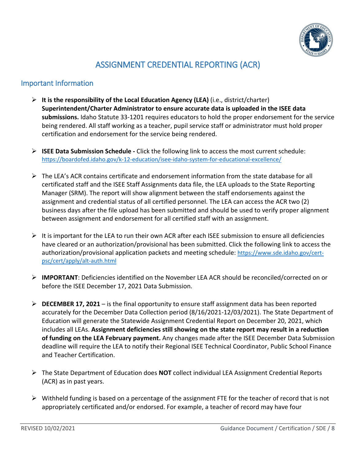

# ASSIGNMENT CREDENTIAL REPORTING (ACR)

## <span id="page-7-1"></span><span id="page-7-0"></span>Important Information

- **It is the responsibility of the Local Education Agency (LEA)** (i.e., district/charter) **Superintendent/Charter Administrator to ensure accurate data is uploaded in the ISEE data submissions.** Idaho Statute 33-1201 requires educators to hold the proper endorsement for the service being rendered. All staff working as a teacher, pupil service staff or administrator must hold proper certification and endorsement for the service being rendered.
- **ISEE Data Submission Schedule -** Click the following link to access the most current schedule: https://boardofed.idaho.gov/k-12-education/isee-idaho-system-for-educational-excellence/
- $\triangleright$  The LEA's ACR contains certificate and endorsement information from the state database for all certificated staff and the ISEE Staff Assignments data file, the LEA uploads to the State Reporting Manager (SRM). The report will show alignment between the staff endorsements against the assignment and credential status of all certified personnel. The LEA can access the ACR two (2) business days after the file upload has been submitted and should be used to verify proper alignment between assignment and endorsement for all certified staff with an assignment.
- $\triangleright$  It is important for the LEA to run their own ACR after each ISEE submission to ensure all deficiencies have cleared or an authorization/provisional has been submitted. Click the following link to access the authorization/provisional application packets and meeting schedule: [https://www.sde.idaho.gov/cert](https://www.sde.idaho.gov/cert-psc/cert/apply/alt-auth.html)[psc/cert/apply/alt-auth.html](https://www.sde.idaho.gov/cert-psc/cert/apply/alt-auth.html)
- **IMPORTANT**: Deficiencies identified on the November LEA ACR should be reconciled/corrected on or before the ISEE December 17, 2021 Data Submission.
- **DECEMBER 17, 2021** is the final opportunity to ensure staff assignment data has been reported accurately for the December Data Collection period (8/16/2021-12/03/2021). The State Department of Education will generate the Statewide Assignment Credential Report on December 20, 2021, which includes all LEAs. **Assignment deficiencies still showing on the state report may result in a reduction of funding on the LEA February payment.** Any changes made after the ISEE December Data Submission deadline will require the LEA to notify their Regional ISEE Technical Coordinator, Public School Finance and Teacher Certification.
- The State Department of Education does **NOT** collect individual LEA Assignment Credential Reports (ACR) as in past years.
- $\triangleright$  Withheld funding is based on a percentage of the assignment FTE for the teacher of record that is not appropriately certificated and/or endorsed. For example, a teacher of record may have four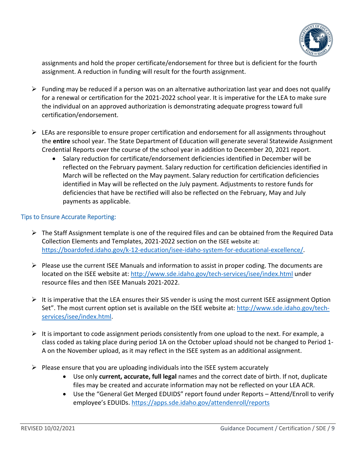

assignments and hold the proper certificate/endorsement for three but is deficient for the fourth assignment. A reduction in funding will result for the fourth assignment.

- $\triangleright$  Funding may be reduced if a person was on an alternative authorization last year and does not qualify for a renewal or certification for the 2021-2022 school year. It is imperative for the LEA to make sure the individual on an approved authorization is demonstrating adequate progress toward full certification/endorsement.
- $\triangleright$  LEAs are responsible to ensure proper certification and endorsement for all assignments throughout the **entire** school year. The State Department of Education will generate several Statewide Assignment Credential Reports over the course of the school year in addition to December 20, 2021 report.
	- Salary reduction for certificate/endorsement deficiencies identified in December will be reflected on the February payment. Salary reduction for certification deficiencies identified in March will be reflected on the May payment. Salary reduction for certification deficiencies identified in May will be reflected on the July payment. Adjustments to restore funds for deficiencies that have be rectified will also be reflected on the February, May and July payments as applicable.

#### <span id="page-8-0"></span>Tips to Ensure Accurate Reporting:

- $\triangleright$  The Staff Assignment template is one of the required files and can be obtained from the Required Data Collection Elements and Templates, 2021-2022 section on the [ISEE website](https://boardofed.idaho.gov/k-12-education/isee-idaho-system-for-educational-excellence/) at: https://boardofed.idaho.gov/k-12-education/isee-idaho-system-for-educational-excellence/.
- $\triangleright$  Please use the current ISEE Manuals and information to assist in proper coding. The documents are located on the ISEE website at:<http://www.sde.idaho.gov/tech-services/isee/index.html> under resource files and then ISEE Manuals 2021-2022.
- $\triangleright$  It is imperative that the LEA ensures their SIS vender is using the most current ISEE assignment Option Set". The most current option set is available on the ISEE website at: [http://www.sde.idaho.gov/tech](http://www.sde.idaho.gov/tech-services/isee/index.html)[services/isee/index.html.](http://www.sde.idaho.gov/tech-services/isee/index.html)
- $\triangleright$  It is important to code assignment periods consistently from one upload to the next. For example, a class coded as taking place during period 1A on the October upload should not be changed to Period 1- A on the November upload, as it may reflect in the ISEE system as an additional assignment.
- $\triangleright$  Please ensure that you are uploading individuals into the ISEE system accurately
	- Use only **current, accurate, full legal** names and the correct date of birth. If not, duplicate files may be created and accurate information may not be reflected on your LEA ACR.
	- Use the "General Get Merged EDUIDS" report found under Reports Attend/Enroll to verify employee's EDUIDs.<https://apps.sde.idaho.gov/attendenroll/reports>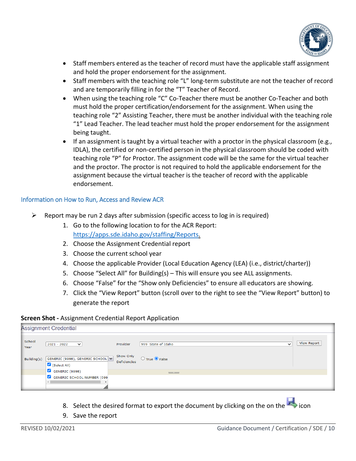

- Staff members entered as the teacher of record must have the applicable staff assignment and hold the proper endorsement for the assignment.
- Staff members with the teaching role "L" long-term substitute are not the teacher of record and are temporarily filling in for the "T" Teacher of Record.
- When using the teaching role "C" Co-Teacher there must be another Co-Teacher and both must hold the proper certification/endorsement for the assignment. When using the teaching role "2" Assisting Teacher, there must be another individual with the teaching role "1" Lead Teacher. The lead teacher must hold the proper endorsement for the assignment being taught.
- If an assignment is taught by a virtual teacher with a proctor in the physical classroom (e.g., IDLA), the certified or non-certified person in the physical classroom should be coded with teaching role "P" for Proctor. The assignment code will be the same for the virtual teacher and the proctor. The proctor is not required to hold the applicable endorsement for the assignment because the virtual teacher is the teacher of record with the applicable endorsement.

#### <span id="page-9-0"></span>Information on How to Run, Access and Review ACR

- $\triangleright$  Report may be run 2 days after submission (specific access to log in is required)
	- 1. Go to the following location to for the ACR Report: [https://apps.sde.idaho.gov/staffing/Reports.](https://apps.sde.idaho.gov/staffing/Reports)
	- 2. Choose the Assignment Credential report
	- 3. Choose the current school year
	- 4. Choose the applicable Provider (Local Education Agency (LEA) (i.e., district/charter))
	- 5. Choose "Select All" for Building(s) This will ensure you see ALL assignments.
	- 6. Choose "False" for the "Show only Deficiencies" to ensure all educators are showing.
	- 7. Click the "View Report" button (scroll over to the right to see the "View Report" button) to generate the report

#### **Screen Shot -** Assignment Credential Report Application

| Assignment Credential |                                                 |                                  |                                    |             |  |  |
|-----------------------|-------------------------------------------------|----------------------------------|------------------------------------|-------------|--|--|
| School<br>Year        | $2021 - 2022$<br>$\checkmark$                   | Provider                         | 999 State of Idaho<br>$\checkmark$ | View Report |  |  |
| Building(s)           | GENERIC (9998), GENERIC SCHOOL V<br>Select All) | Show Only<br><b>Deficiencies</b> | $\bigcirc$ True $\bigcirc$ False   |             |  |  |
|                       | $\bigotimes$ GENERIC (9998)                     |                                  | <b>Contract Contract</b>           |             |  |  |
|                       | GENERIC SCHOOL NUMBER (099<br>th.               |                                  |                                    |             |  |  |

- 8. Select the desired format to export the document by clicking on the on the  $\overrightarrow{r}$  icon
- 9. Save the report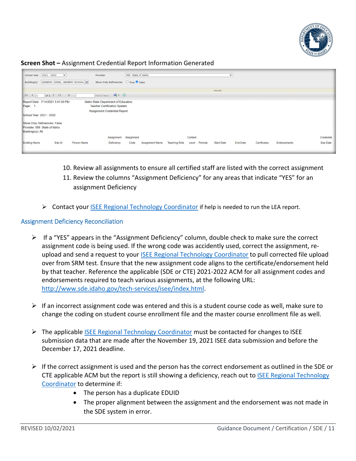

#### **Screen Shot –** Assignment Credential Report Information Generated

| School Year 2021 - 2022           | $\check{~}$                                             |                                  | Provider                                                                                    | 999 State of Idaho |                        |                      |         |         |                   | $\check{ }$     |              |              |                 |
|-----------------------------------|---------------------------------------------------------|----------------------------------|---------------------------------------------------------------------------------------------|--------------------|------------------------|----------------------|---------|---------|-------------------|-----------------|--------------|--------------|-----------------|
| Building(s)                       |                                                         | GENERIC (9998), GENERIC SCHOOL V | Show Only Deficiencies $\bigcirc$ True $\bigcirc$ False                                     |                    |                        |                      |         |         |                   |                 |              |              |                 |
|                                   |                                                         |                                  |                                                                                             |                    |                        |                      |         |         | <b>SHOWING</b>    |                 |              |              |                 |
| $\frac{1}{4}$                     | of $1 \quad \triangleright \quad \triangleright \vdots$ | 4                                | Find   Next $\begin{array}{ccc} \hline \end{array}$ $\begin{array}{ccc} \hline \end{array}$ |                    |                        |                      |         |         |                   |                 |              |              |                 |
| Report Date: 7/14/2021 3:41:00 PM |                                                         |                                  | Idaho State Department of Education                                                         |                    |                        |                      |         |         |                   |                 |              |              |                 |
| Page:                             |                                                         |                                  | <b>Teacher Certification System</b>                                                         |                    |                        |                      |         |         |                   |                 |              |              |                 |
|                                   |                                                         |                                  | <b>Assignment Credential Report</b>                                                         |                    |                        |                      |         |         |                   |                 |              |              |                 |
| School Year: 2021 - 2022          |                                                         |                                  |                                                                                             |                    |                        |                      |         |         |                   |                 |              |              |                 |
| Show Only Deficiencies: False     |                                                         |                                  |                                                                                             |                    |                        |                      |         |         |                   |                 |              |              |                 |
| Provider: 999 State of Idaho      |                                                         |                                  |                                                                                             |                    |                        |                      |         |         |                   |                 |              |              |                 |
| Buildings(s): All                 |                                                         |                                  |                                                                                             |                    |                        |                      |         |         |                   |                 |              |              |                 |
|                                   |                                                         |                                  | Assignment                                                                                  | Assignment         |                        |                      | Content |         |                   |                 |              |              | Credential      |
| <b>Building Name</b>              | Edu Id                                                  | Person Name                      | Deficiency                                                                                  | Code               | <b>Assignment Name</b> | <b>Teaching Role</b> | Level   | Periods | <b>Start Date</b> | <b>End Date</b> | Certificates | Endorsements | <b>Exp Date</b> |
|                                   |                                                         |                                  |                                                                                             |                    |                        |                      |         |         |                   |                 |              |              |                 |

- 10. Review all assignments to ensure all certified staff are listed with the correct assignment
- 11. Review the columns "Assignment Deficiency" for any areas that indicate "YES" for an assignment Deficiency
- ▶ Contact your [ISEE Regional Technology Coordinator](#page-14-0) if help is needed to run the LEA report.

#### <span id="page-10-0"></span>Assignment Deficiency Reconciliation

- $\triangleright$  If a "YES" appears in the "Assignment Deficiency" column, double check to make sure the correct assignment code is being used. If the wrong code was accidently used, correct the assignment, reupload and send a request to your [ISEE Regional Technology Coordinator](#page-14-0) to pull corrected file upload over from SRM test. Ensure that the new assignment code aligns to the certificate/endorsement held by that teacher. Reference the applicable (SDE or CTE) 2021-2022 ACM for all assignment codes and endorsements required to teach various assignments, at the following URL: [http://www.sde.idaho.gov/tech-services/isee/index.html.](http://www.sde.idaho.gov/tech-services/isee/index.html)
- $\triangleright$  If an incorrect assignment code was entered and this is a student course code as well, make sure to change the coding on student course enrollment file and the master course enrollment file as well.
- $\triangleright$  The applicable **ISEE Regional Technology Coordinator** must be contacted for changes to ISEE submission data that are made after the November 19, 2021 ISEE data submission and before the December 17, 2021 deadline.
- $\triangleright$  If the correct assignment is used and the person has the correct endorsement as outlined in the SDE or CTE applicable ACM but the report is still showing a deficiency, reach out to [ISEE Regional Technology](#page-14-0)  [Coordinator](#page-14-0) to determine if:
	- The person has a duplicate EDUID
	- The proper alignment between the assignment and the endorsement was not made in the SDE system in error.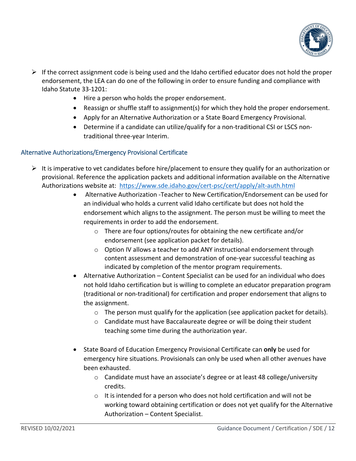

- $\triangleright$  If the correct assignment code is being used and the Idaho certified educator does not hold the proper endorsement, the LEA can do one of the following in order to ensure funding and compliance with Idaho Statute 33-1201:
	- Hire a person who holds the proper endorsement.
	- Reassign or shuffle staff to assignment(s) for which they hold the proper endorsement.
	- Apply for an Alternative Authorization or a State Board Emergency Provisional.
	- Determine if a candidate can utilize/qualify for a non-traditional CSI or LSCS nontraditional three-year Interim.

#### <span id="page-11-0"></span>Alternative Authorizations/Emergency Provisional Certificate

- $\triangleright$  It is imperative to vet candidates before hire/placement to ensure they qualify for an authorization or provisional. Reference the application packets and additional information available on the Alternative Authorizations website at: <https://www.sde.idaho.gov/cert-psc/cert/apply/alt-auth.html>
	- Alternative Authorization -Teacher to New Certification/Endorsement can be used for an individual who holds a current valid Idaho certificate but does not hold the endorsement which aligns to the assignment. The person must be willing to meet the requirements in order to add the endorsement.
		- o There are four options/routes for obtaining the new certificate and/or endorsement (see application packet for details).
		- o Option IV allows a teacher to add ANY instructional endorsement through content assessment and demonstration of one-year successful teaching as indicated by completion of the mentor program requirements.
	- Alternative Authorization Content Specialist can be used for an individual who does not hold Idaho certification but is willing to complete an educator preparation program (traditional or non-traditional) for certification and proper endorsement that aligns to the assignment.
		- $\circ$  The person must qualify for the application (see application packet for details).
		- $\circ$  Candidate must have Baccalaureate degree or will be doing their student teaching some time during the authorization year.
	- State Board of Education Emergency Provisional Certificate can **only** be used for emergency hire situations. Provisionals can only be used when all other avenues have been exhausted.
		- o Candidate must have an associate's degree or at least 48 college/university credits.
		- $\circ$  It is intended for a person who does not hold certification and will not be working toward obtaining certification or does not yet qualify for the Alternative Authorization – Content Specialist.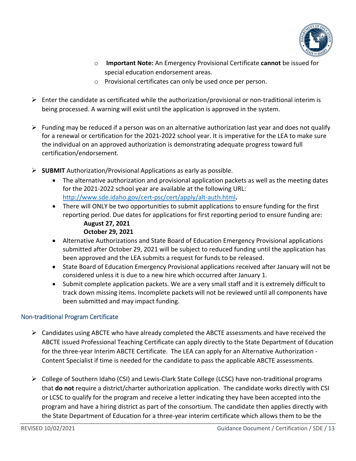

- o **Important Note:** An Emergency Provisional Certificate **cannot** be issued for special education endorsement areas.
- o Provisional certificates can only be used once per person.
- $\triangleright$  Enter the candidate as certificated while the authorization/provisional or non-traditional interim is being processed. A warning will exist until the application is approved in the system.
- $\triangleright$  Funding may be reduced if a person was on an alternative authorization last year and does not qualify for a renewal or certification for the 2021-2022 school year. It is imperative for the LEA to make sure the individual on an approved authorization is demonstrating adequate progress toward full certification/endorsement.
- **SUBMIT** Authorization/Provisional Applications as early as possible.
	- The alternative authorization and provisional application packets as well as the meeting dates for the 2021-2022 school year are available at the following URL: <http://www.sde.idaho.gov/cert-psc/cert/apply/alt-auth.html>**.**
	- There will ONLY be two opportunities to submit applications to ensure funding for the first reporting period. Due dates for applications for first reporting period to ensure funding are: **August 27, 2021**

## **October 29, 2021**

- Alternative Authorizations and State Board of Education Emergency Provisional applications submitted after October 29, 2021 will be subject to reduced funding until the application has been approved and the LEA submits a request for funds to be released.
- State Board of Education Emergency Provisional applications received after January will not be considered unless it is due to a new hire which occurred after January 1.
- Submit complete application packets. We are a very small staff and it is extremely difficult to track down missing items. Incomplete packets will not be reviewed until all components have been submitted and may impact funding.

#### <span id="page-12-0"></span>Non-traditional Program Certificate

- $\triangleright$  Candidates using ABCTE who have already completed the ABCTE assessments and have received the ABCTE issued Professional Teaching Certificate can apply directly to the State Department of Education for the three-year Interim ABCTE Certificate. The LEA can apply for an Alternative Authorization - Content Specialist if time is needed for the candidate to pass the applicable ABCTE assessments.
- College of Southern Idaho (CSI) and Lewis-Clark State College (LCSC) have non-traditional programs that **do not** require a district/charter authorization application. The candidate works directly with CSI or LCSC to qualify for the program and receive a letter indicating they have been accepted into the program and have a hiring district as part of the consortium. The candidate then applies directly with the State Department of Education for a three-year interim certificate which allows them to be the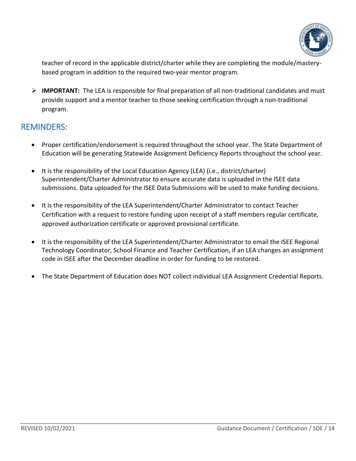

teacher of record in the applicable district/charter while they are completing the module/masterybased program in addition to the required two-year mentor program.

 **IMPORTANT:** The LEA is responsible for final preparation of all non-traditional candidates and must provide support and a mentor teacher to those seeking certification through a non-traditional program.

# <span id="page-13-0"></span>REMINDERS:

- Proper certification/endorsement is required throughout the school year. The State Department of Education will be generating Statewide Assignment Deficiency Reports throughout the school year.
- It is the responsibility of the Local Education Agency (LEA) (i.e., district/charter) Superintendent/Charter Administrator to ensure accurate data is uploaded in the ISEE data submissions. Data uploaded for the ISEE Data Submissions will be used to make funding decisions.
- It is the responsibility of the LEA Superintendent/Charter Administrator to contact Teacher Certification with a request to restore funding upon receipt of a staff members regular certificate, approved authorization certificate or approved provisional certificate.
- It is the responsibility of the LEA Superintendent/Charter Administrator to email the [ISEE Regional](#page-14-0)  [Technology Coordinator,](#page-14-0) School Finance and Teacher Certification, if an LEA changes an assignment code in ISEE after the December deadline in order for funding to be restored.
- The State Department of Education does NOT collect individual LEA Assignment Credential Reports.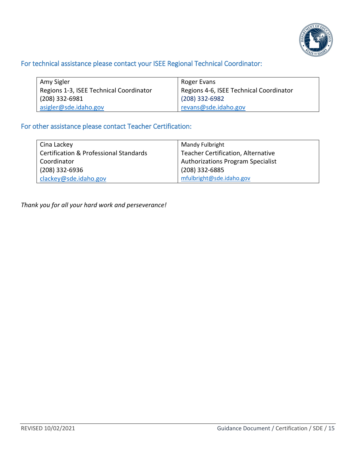

# <span id="page-14-0"></span>For technical assistance please contact your ISEE Regional Technical Coordinator:

| Amy Sigler                              | Roger Evans                             |
|-----------------------------------------|-----------------------------------------|
| Regions 1-3, ISEE Technical Coordinator | Regions 4-6, ISEE Technical Coordinator |
| $(208)$ 332-6981                        | $(208)$ 332-6982                        |
| asigler@sde.idaho.gov                   | revans@sde.idaho.gov                    |

### <span id="page-14-1"></span>For other assistance please contact Teacher Certification:

| Cina Lackey                                       | Mandy Fulbright                          |
|---------------------------------------------------|------------------------------------------|
| <b>Certification &amp; Professional Standards</b> | Teacher Certification, Alternative       |
| Coordinator                                       | <b>Authorizations Program Specialist</b> |
| (208) 332-6936                                    | (208) 332-6885                           |
| clackey@sde.idaho.gov                             | mfulbright@sde.idaho.gov                 |

*Thank you for all your hard work and perseverance!*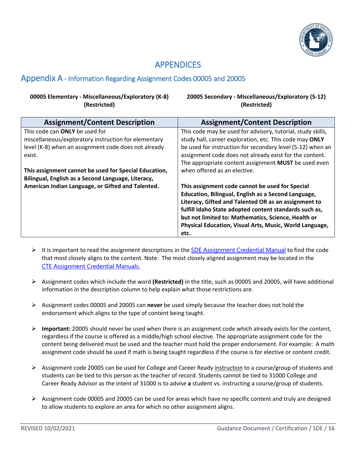

# APPENDICES

## <span id="page-15-1"></span><span id="page-15-0"></span>Appendix A - Information Regarding Assignment Codes 00005 and 20005

#### **00005 Elementary - Miscellaneous/Exploratory (K-8) (Restricted)**

**20005 Secondary - Miscellaneous/Exploratory (5-12) (Restricted)**

| <b>Assignment/Content Description</b>                 | <b>Assignment/Content Description</b>                       |
|-------------------------------------------------------|-------------------------------------------------------------|
| This code can <b>ONLY</b> be used for                 | This code may be used for advisory, tutorial, study skills, |
| miscellaneous/exploratory instruction for elementary  | study hall, career exploration, etc. This code may ONLY     |
| level (K-8) when an assignment code does not already  | be used for instruction for secondary level (5-12) when an  |
| exist.                                                | assignment code does not already exist for the content.     |
|                                                       | The appropriate content assignment MUST be used even        |
| This assignment cannot be used for Special Education, | when offered as an elective.                                |
| Bilingual, English as a Second Language, Literacy,    |                                                             |
| American Indian Language, or Gifted and Talented.     | This assignment code cannot be used for Special             |
|                                                       | Education, Bilingual, English as a Second Language,         |
|                                                       | Literacy, Gifted and Talented OR as an assignment to        |
|                                                       | fulfill Idaho State adopted content standards such as,      |
|                                                       | but not limited to: Mathematics, Science, Health or         |
|                                                       | Physical Education, Visual Arts, Music, World Language,     |
|                                                       | etc.                                                        |

- It is important to read the assignment descriptions in the SDE [Assignment Credential Manual](https://www.sde.idaho.gov/cert-psc/shared/manuals/2021-2022-SDE-Assignment-Credential-Manual.xlsx) to find the code that most closely aligns to the content. Note: The most closely aligned assignment may be located in the CTE [Assignment Credential Manuals.](https://cte.idaho.gov/programs-2/secondary-education/assignment-manual-and-isee-resources/)
- Assignment codes which include the word **(Restricted)** in the title, such as 00005 and 20005, will have additional information in the description column to help explain what those restrictions are.
- Assignment codes 00005 and 20005 can **never** be used simply because the teacher does not hold the endorsement which aligns to the type of content being taught.
- **Important:** 20005 should never be used when there is an assignment code which already exists for the content, regardless if the course is offered as a middle/high school elective. The appropriate assignment code for the content being delivered must be used and the teacher must hold the proper endorsement. For example: A math assignment code should be used if math is being taught regardless if the course is for elective or content credit.
- $\triangleright$  Assignment code 20005 can be used for College and Career Ready instruction to a course/group of students and students can be tied to this person as the teacher of record. Students cannot be tied to 31000 College and Career Ready Advisor as the intent of 31000 is to advise **a** student vs. instructing a course/group of students.
- $\triangleright$  Assignment code 00005 and 20005 can be used for areas which have no specific content and truly are designed to allow students to explore an area for which no other assignment aligns.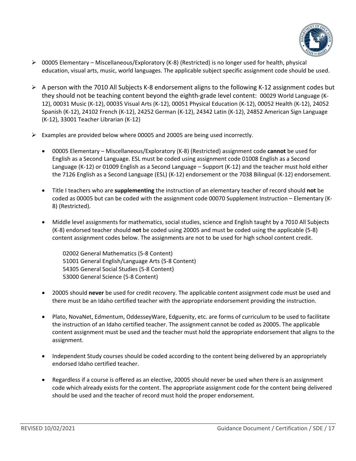

- $\triangleright$  00005 Elementary Miscellaneous/Exploratory (K-8) (Restricted) is no longer used for health, physical education, visual arts, music, world languages. The applicable subject specific assignment code should be used.
- $\triangleright$  A person with the 7010 All Subjects K-8 endorsement aligns to the following K-12 assignment codes but they should not be teaching content beyond the eighth-grade level content: 00029 World Language (K-12), 00031 Music (K-12), 00035 Visual Arts (K-12), 00051 Physical Education (K-12), 00052 Health (K-12), 24052 Spanish (K-12), 24102 French (K-12), 24252 German (K-12), 24342 Latin (K-12), 24852 American Sign Language (K-12), 33001 Teacher Librarian (K-12)
- $\triangleright$  Examples are provided below where 00005 and 20005 are being used incorrectly.
	- 00005 Elementary Miscellaneous/Exploratory (K-8) (Restricted) assignment code **cannot** be used for English as a Second Language. ESL must be coded using assignment code 01008 English as a Second Language (K-12) or 01009 English as a Second Language – Support (K-12) and the teacher must hold either the 7126 English as a Second Language (ESL) (K-12) endorsement or the 7038 Bilingual (K-12) endorsement.
	- Title I teachers who are **supplementing** the instruction of an elementary teacher of record should **not** be coded as 00005 but can be coded with the assignment code 00070 Supplement Instruction – Elementary (K-8) (Restricted).
	- Middle level assignments for mathematics, social studies, science and English taught by a 7010 All Subjects (K-8) endorsed teacher should **not** be coded using 20005 and must be coded using the applicable (5-8) content assignment codes below. The assignments are not to be used for high school content credit.

02002 General Mathematics (5-8 Content) 51001 General English/Language Arts (5-8 Content) 54305 General Social Studies (5-8 Content) 53000 General Science (5-8 Content)

- 20005 should **never** be used for credit recovery. The applicable content assignment code must be used and there must be an Idaho certified teacher with the appropriate endorsement providing the instruction.
- Plato, NovaNet, Edmentum, OddesseyWare, Edguenity, etc. are forms of curriculum to be used to facilitate the instruction of an Idaho certified teacher. The assignment cannot be coded as 20005. The applicable content assignment must be used and the teacher must hold the appropriate endorsement that aligns to the assignment.
- Independent Study courses should be coded according to the content being delivered by an appropriately endorsed Idaho certified teacher.
- Regardless if a course is offered as an elective, 20005 should never be used when there is an assignment code which already exists for the content. The appropriate assignment code for the content being delivered should be used and the teacher of record must hold the proper endorsement.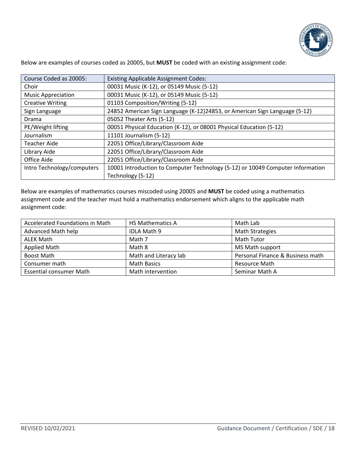

Below are examples of courses coded as 20005, but **MUST** be coded with an existing assignment code:

| Course Coded as 20005:     | <b>Existing Applicable Assignment Codes:</b>                                   |
|----------------------------|--------------------------------------------------------------------------------|
| Choir                      | 00031 Music (K-12), or 05149 Music (5-12)                                      |
| <b>Music Appreciation</b>  | 00031 Music (K-12), or 05149 Music (5-12)                                      |
| <b>Creative Writing</b>    | 01103 Composition/Writing (5-12)                                               |
| Sign Language              | 24852 American Sign Language (K-12)24853, or American Sign Language (5-12)     |
| Drama                      | 05052 Theater Arts (5-12)                                                      |
| PE/Weight lifting          | 00051 Physical Education (K-12), or 08001 Physical Education (5-12)            |
| Journalism                 | 11101 Journalism (5-12)                                                        |
| <b>Teacher Aide</b>        | 22051 Office/Library/Classroom Aide                                            |
| Library Aide               | 22051 Office/Library/Classroom Aide                                            |
| Office Aide                | 22051 Office/Library/Classroom Aide                                            |
| Intro Technology/computers | 10001 Introduction to Computer Technology (5-12) or 10049 Computer Information |
|                            | Technology (5-12)                                                              |

Below are examples of mathematics courses miscoded using 20005 and **MUST** be coded using a mathematics assignment code and the teacher must hold a mathematics endorsement which aligns to the applicable math assignment code:

| Accelerated Foundations in Math | <b>HS Mathematics A</b> | Math Lab                         |
|---------------------------------|-------------------------|----------------------------------|
| Advanced Math help              | IDLA Math 9             | <b>Math Strategies</b>           |
| ALEK Math                       | Math 7                  | Math Tutor                       |
| Applied Math                    | Math 8                  | MS Math support                  |
| <b>Boost Math</b>               | Math and Literacy lab   | Personal Finance & Business math |
| Consumer math                   | <b>Math Basics</b>      | <b>Resource Math</b>             |
| <b>Essential consumer Math</b>  | Math intervention       | Seminar Math A                   |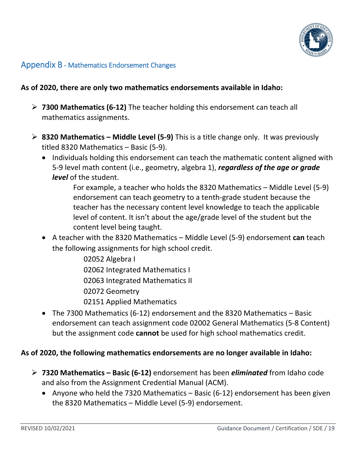

# <span id="page-18-0"></span>Appendix B - Mathematics Endorsement Changes

## **As of 2020, there are only two mathematics endorsements available in Idaho:**

- **7300 Mathematics (6-12)** The teacher holding this endorsement can teach all mathematics assignments.
- **8320 Mathematics – Middle Level (5-9)** This is a title change only. It was previously titled 8320 Mathematics – Basic (5-9).
	- Individuals holding this endorsement can teach the mathematic content aligned with 5-9 level math content (i.e., geometry, algebra 1), *regardless of the age or grade level* of the student.

For example, a teacher who holds the 8320 Mathematics – Middle Level (5-9) endorsement can teach geometry to a tenth-grade student because the teacher has the necessary content level knowledge to teach the applicable level of content. It isn't about the age/grade level of the student but the content level being taught.

• A teacher with the 8320 Mathematics – Middle Level (5-9) endorsement **can** teach the following assignments for high school credit.

> 02052 Algebra I 02062 Integrated Mathematics I 02063 Integrated Mathematics II 02072 Geometry 02151 Applied Mathematics

• The 7300 Mathematics (6-12) endorsement and the 8320 Mathematics – Basic endorsement can teach assignment code 02002 General Mathematics (5-8 Content) but the assignment code **cannot** be used for high school mathematics credit.

## **As of 2020, the following mathematics endorsements are no longer available in Idaho:**

- **7320 Mathematics – Basic (6-12)** endorsement has been *eliminated* from Idaho code and also from the Assignment Credential Manual (ACM).
	- Anyone who held the 7320 Mathematics Basic (6-12) endorsement has been given the 8320 Mathematics – Middle Level (5-9) endorsement.